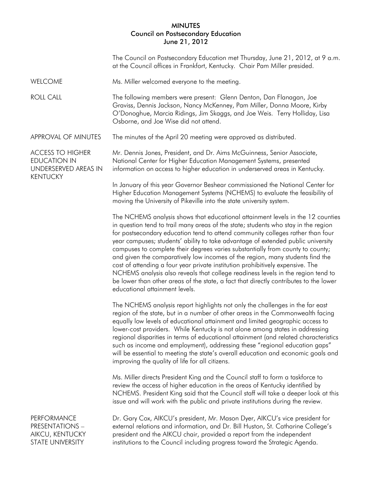## MINUTES Council on Postsecondary Education June 21, 2012

| JUIIU <i>L</i> II, LUI <i>L</i>                                                           |                                                                                                                                                                                                                                                                                                                                                                                                                                                                                                                                                                                                                                                                                                                                                                                                                 |  |
|-------------------------------------------------------------------------------------------|-----------------------------------------------------------------------------------------------------------------------------------------------------------------------------------------------------------------------------------------------------------------------------------------------------------------------------------------------------------------------------------------------------------------------------------------------------------------------------------------------------------------------------------------------------------------------------------------------------------------------------------------------------------------------------------------------------------------------------------------------------------------------------------------------------------------|--|
|                                                                                           | The Council on Postsecondary Education met Thursday, June 21, 2012, at 9 a.m.<br>at the Council offices in Frankfort, Kentucky. Chair Pam Miller presided.                                                                                                                                                                                                                                                                                                                                                                                                                                                                                                                                                                                                                                                      |  |
| <b>WELCOME</b>                                                                            | Ms. Miller welcomed everyone to the meeting.                                                                                                                                                                                                                                                                                                                                                                                                                                                                                                                                                                                                                                                                                                                                                                    |  |
| <b>ROLL CALL</b>                                                                          | The following members were present: Glenn Denton, Dan Flanagan, Joe<br>Graviss, Dennis Jackson, Nancy McKenney, Pam Miller, Donna Moore, Kirby<br>O'Donoghue, Marcia Ridings, Jim Skaggs, and Joe Weis. Terry Holliday, Lisa<br>Osborne, and Joe Wise did not attend.                                                                                                                                                                                                                                                                                                                                                                                                                                                                                                                                           |  |
| APPROVAL OF MINUTES                                                                       | The minutes of the April 20 meeting were approved as distributed.                                                                                                                                                                                                                                                                                                                                                                                                                                                                                                                                                                                                                                                                                                                                               |  |
| <b>ACCESS TO HIGHER</b><br><b>EDUCATION IN</b><br>UNDERSERVED AREAS IN<br><b>KENTUCKY</b> | Mr. Dennis Jones, President, and Dr. Aims McGuinness, Senior Associate,<br>National Center for Higher Education Management Systems, presented<br>information on access to higher education in underserved areas in Kentucky.                                                                                                                                                                                                                                                                                                                                                                                                                                                                                                                                                                                    |  |
|                                                                                           | In January of this year Governor Beshear commissioned the National Center for<br>Higher Education Management Systems (NCHEMS) to evaluate the feasibility of<br>moving the University of Pikeville into the state university system.                                                                                                                                                                                                                                                                                                                                                                                                                                                                                                                                                                            |  |
|                                                                                           | The NCHEMS analysis shows that educational attainment levels in the 12 counties<br>in question tend to trail many areas of the state; students who stay in the region<br>for postsecondary education tend to attend community colleges rather than four<br>year campuses; students' ability to take advantage of extended public university<br>campuses to complete their degrees varies substantially from county to county;<br>and given the comparatively low incomes of the region, many students find the<br>cost of attending a four year private institution prohibitively expensive. The<br>NCHEMS analysis also reveals that college readiness levels in the region tend to<br>be lower than other areas of the state, a fact that directly contributes to the lower<br>educational attainment levels. |  |
|                                                                                           | The NCHEMS analysis report highlights not only the challenges in the far east<br>region of the state, but in a number of other areas in the Commonwealth facing<br>equally low levels of educational attainment and limited geographic access to<br>lower-cost providers. While Kentucky is not alone among states in addressing<br>regional disparities in terms of educational attainment (and related characteristics<br>such as income and employment), addressing these "regional education gaps"<br>will be essential to meeting the state's overall education and economic goals and<br>improving the quality of life for all citizens.                                                                                                                                                                  |  |
|                                                                                           | Ms. Miller directs President King and the Council staff to form a taskforce to<br>review the access of higher education in the areas of Kentucky identified by<br>NCHEMS. President King said that the Council staff will take a deeper look at this<br>issue and will work with the public and private institutions during the review.                                                                                                                                                                                                                                                                                                                                                                                                                                                                         |  |
| PERFORMANCE<br><b>PRESENTATIONS -</b><br>AIKCU, KENTUCKY<br>STATE UNIVERSITY              | Dr. Gary Cox, AIKCU's president, Mr. Mason Dyer, AIKCU's vice president for<br>external relations and information, and Dr. Bill Huston, St. Catharine College's<br>president and the AIKCU chair, provided a report from the independent<br>institutions to the Council including progress toward the Strategic Agenda.                                                                                                                                                                                                                                                                                                                                                                                                                                                                                         |  |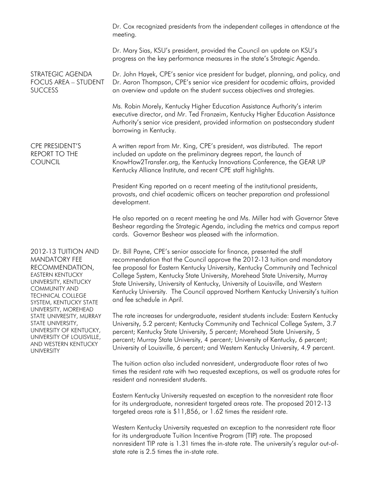|                                                                                                                                                                                                                                                                                                                                                                               | Dr. Cox recognized presidents from the independent colleges in attendance at the<br>meeting.                                                                                                                                                                                                                                                                                                                                                                                                                                |
|-------------------------------------------------------------------------------------------------------------------------------------------------------------------------------------------------------------------------------------------------------------------------------------------------------------------------------------------------------------------------------|-----------------------------------------------------------------------------------------------------------------------------------------------------------------------------------------------------------------------------------------------------------------------------------------------------------------------------------------------------------------------------------------------------------------------------------------------------------------------------------------------------------------------------|
|                                                                                                                                                                                                                                                                                                                                                                               | Dr. Mary Sias, KSU's president, provided the Council an update on KSU's<br>progress on the key performance measures in the state's Strategic Agenda.                                                                                                                                                                                                                                                                                                                                                                        |
| STRATEGIC AGENDA<br><b>FOCUS AREA - STUDENT</b><br><b>SUCCESS</b>                                                                                                                                                                                                                                                                                                             | Dr. John Hayek, CPE's senior vice president for budget, planning, and policy, and<br>Dr. Aaron Thompson, CPE's senior vice president for academic affairs, provided<br>an overview and update on the student success objectives and strategies.                                                                                                                                                                                                                                                                             |
|                                                                                                                                                                                                                                                                                                                                                                               | Ms. Robin Morely, Kentucky Higher Education Assistance Authority's interim<br>executive director, and Mr. Ted Franzeim, Kentucky Higher Education Assistance<br>Authority's senior vice president, provided information on postsecondary student<br>borrowing in Kentucky.                                                                                                                                                                                                                                                  |
| CPE PRESIDENT'S<br><b>REPORT TO THE</b><br><b>COUNCIL</b>                                                                                                                                                                                                                                                                                                                     | A written report from Mr. King, CPE's president, was distributed. The report<br>included an update on the preliminary degrees report, the launch of<br>KnowHow2Transfer.org, the Kentucky Innovations Conference, the GEAR UP<br>Kentucky Alliance Institute, and recent CPE staff highlights.                                                                                                                                                                                                                              |
|                                                                                                                                                                                                                                                                                                                                                                               | President King reported on a recent meeting of the institutional presidents,<br>provosts, and chief academic officers on teacher preparation and professional<br>development.                                                                                                                                                                                                                                                                                                                                               |
|                                                                                                                                                                                                                                                                                                                                                                               | He also reported on a recent meeting he and Ms. Miller had with Governor Steve<br>Beshear regarding the Strategic Agenda, including the metrics and campus report<br>cards. Governor Beshear was pleased with the information.                                                                                                                                                                                                                                                                                              |
| 2012-13 TUITION AND<br><b>MANDATORY FEE</b><br>RECOMMENDATION,<br><b>EASTERN KENTUCKY</b><br>UNIVERSITY, KENTUCKY<br><b>COMMUNITY AND</b><br><b>TECHNICAL COLLEGE</b><br>SYSTEM, KENTUCKY STATE<br>UNIVERSITY, MOREHEAD<br>STATE UNIVRESITY, MURRAY<br>STATE UNIVERSITY,<br>UNIVERSITY OF KENTUCKY,<br>UNIVERSITY OF LOUISVILLE,<br>AND WESTERN KENTUCKY<br><b>UNIVERSITY</b> | Dr. Bill Payne, CPE's senior associate for finance, presented the staff<br>recommendation that the Council approve the 2012-13 tuition and mandatory<br>fee proposal for Eastern Kentucky University, Kentucky Community and Technical<br>College System, Kentucky State University, Morehead State University, Murray<br>State University, University of Kentucky, University of Louisville, and Western<br>Kentucky University. The Council approved Northern Kentucky University's tuition<br>and fee schedule in April. |
|                                                                                                                                                                                                                                                                                                                                                                               | The rate increases for undergraduate, resident students include: Eastern Kentucky<br>University, 5.2 percent; Kentucky Community and Technical College System, 3.7<br>percent; Kentucky State University, 5 percent; Morehead State University, 5<br>percent; Murray State University, 4 percent; University of Kentucky, 6 percent;<br>University of Louisville, 6 percent; and Western Kentucky University, 4.9 percent.                                                                                                  |
|                                                                                                                                                                                                                                                                                                                                                                               | The tuition action also included nonresident, undergraduate floor rates of two<br>times the resident rate with two requested exceptions, as well as graduate rates for<br>resident and nonresident students.                                                                                                                                                                                                                                                                                                                |
|                                                                                                                                                                                                                                                                                                                                                                               | Eastern Kentucky University requested an exception to the nonresident rate floor<br>for its undergraduate, nonresident targeted areas rate. The proposed 2012-13<br>targeted areas rate is \$11,856, or 1.62 times the resident rate.                                                                                                                                                                                                                                                                                       |

Western Kentucky University requested an exception to the nonresident rate floor for its undergraduate Tuition Incentive Program (TIP) rate. The proposed nonresident TIP rate is 1.31 times the in-state rate. The university's regular out-ofstate rate is 2.5 times the in-state rate.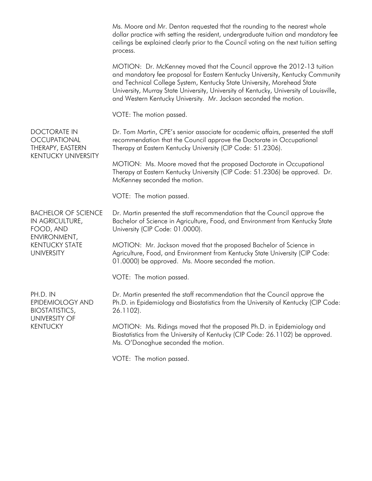Ms. Moore and Mr. Denton requested that the rounding to the nearest whole dollar practice with setting the resident, undergraduate tuition and mandatory fee ceilings be explained clearly prior to the Council voting on the next tuition setting process.

MOTION: Dr. McKenney moved that the Council approve the 2012-13 tuition and mandatory fee proposal for Eastern Kentucky University, Kentucky Community and Technical College System, Kentucky State University, Morehead State University, Murray State University, University of Kentucky, University of Louisville, and Western Kentucky University. Mr. Jackson seconded the motion.

VOTE: The motion passed.

Dr. Tom Martin, CPE's senior associate for academic affairs, presented the staff recommendation that the Council approve the Doctorate in Occupational Therapy at Eastern Kentucky University (CIP Code: 51.2306).

MOTION: Ms. Moore moved that the proposed Doctorate in Occupational Therapy at Eastern Kentucky University (CIP Code: 51.2306) be approved. Dr. McKenney seconded the motion.

VOTE: The motion passed.

BACHELOR OF SCIENCE IN AGRICULTURE, FOOD, AND ENVIRONMENT, KENTUCKY STATE UNIVERSITY

DOCTORATE IN **OCCUPATIONAL** THERAPY, EASTERN KENTUCKY UNIVERSITY

> Dr. Martin presented the staff recommendation that the Council approve the Bachelor of Science in Agriculture, Food, and Environment from Kentucky State University (CIP Code: 01.0000).

MOTION: Mr. Jackson moved that the proposed Bachelor of Science in Agriculture, Food, and Environment from Kentucky State University (CIP Code: 01.0000) be approved. Ms. Moore seconded the motion.

VOTE: The motion passed.

PH.D. IN EPIDEMIOLOGY AND BIOSTATISTICS, UNIVERSITY OF KENTUCKY

Dr. Martin presented the staff recommendation that the Council approve the Ph.D. in Epidemiology and Biostatistics from the University of Kentucky (CIP Code: 26.1102).

MOTION: Ms. Ridings moved that the proposed Ph.D. in Epidemiology and Biostatistics from the University of Kentucky (CIP Code: 26.1102) be approved. Ms. O'Donoghue seconded the motion.

VOTE: The motion passed.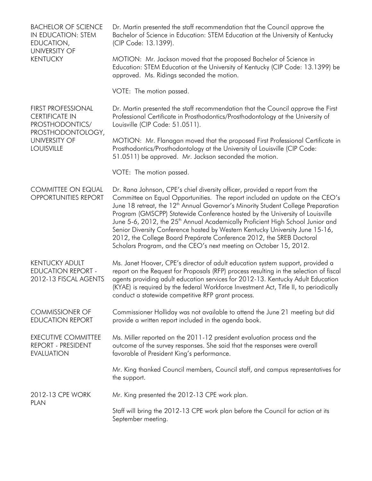| <b>BACHELOR OF SCIENCE</b><br>IN EDUCATION: STEM<br>EDUCATION,<br><b>UNIVERSITY OF</b><br><b>KENTUCKY</b>                               | Dr. Martin presented the staff recommendation that the Council approve the<br>Bachelor of Science in Education: STEM Education at the University of Kentucky<br>(CIP Code: 13.1399).                                                                                                                                                                                                                                                                                                                                                                                                                                                                                    |
|-----------------------------------------------------------------------------------------------------------------------------------------|-------------------------------------------------------------------------------------------------------------------------------------------------------------------------------------------------------------------------------------------------------------------------------------------------------------------------------------------------------------------------------------------------------------------------------------------------------------------------------------------------------------------------------------------------------------------------------------------------------------------------------------------------------------------------|
|                                                                                                                                         | MOTION: Mr. Jackson moved that the proposed Bachelor of Science in<br>Education: STEM Education at the University of Kentucky (CIP Code: 13.1399) be<br>approved. Ms. Ridings seconded the motion.                                                                                                                                                                                                                                                                                                                                                                                                                                                                      |
|                                                                                                                                         | VOTE: The motion passed.                                                                                                                                                                                                                                                                                                                                                                                                                                                                                                                                                                                                                                                |
| <b>FIRST PROFESSIONAL</b><br><b>CERTIFICATE IN</b><br>PROSTHODONTICS/<br>PROSTHODONTOLOGY,<br><b>UNIVERSITY OF</b><br><b>LOUISVILLE</b> | Dr. Martin presented the staff recommendation that the Council approve the First<br>Professional Certificate in Prosthodontics/Prosthodontology at the University of<br>Louisville (CIP Code: 51.0511).                                                                                                                                                                                                                                                                                                                                                                                                                                                                 |
|                                                                                                                                         | MOTION: Mr. Flanagan moved that the proposed First Professional Certificate in<br>Prosthodontics/Prosthodontology at the University of Louisville (CIP Code:<br>51.0511) be approved. Mr. Jackson seconded the motion.                                                                                                                                                                                                                                                                                                                                                                                                                                                  |
|                                                                                                                                         | VOTE: The motion passed.                                                                                                                                                                                                                                                                                                                                                                                                                                                                                                                                                                                                                                                |
| <b>COMMITTEE ON EQUAL</b><br><b>OPPORTUNITIES REPORT</b>                                                                                | Dr. Rana Johnson, CPE's chief diversity officer, provided a report from the<br>Committee on Equal Opportunities. The report included an update on the CEO's<br>June 18 retreat, the 12 <sup>th</sup> Annual Governor's Minority Student College Preparation<br>Program (GMSCPP) Statewide Conference hosted by the University of Louisville<br>June 5-6, 2012, the 25 <sup>th</sup> Annual Academically Proficient High School Junior and<br>Senior Diversity Conference hosted by Western Kentucky University June 15-16,<br>2012, the College Board Prepárate Conference 2012, the SREB Doctoral<br>Scholars Program, and the CEO's next meeting on October 15, 2012. |
| <b>KENTUCKY ADULT</b><br><b>EDUCATION REPORT -</b><br>2012-13 FISCAL AGENTS                                                             | Ms. Janet Hoover, CPE's director of adult education system support, provided a<br>report on the Request for Proposals (RFP) process resulting in the selection of fiscal<br>agents providing adult education services for 2012-13. Kentucky Adult Education<br>(KYAE) is required by the federal Workforce Investment Act, Title II, to periodically<br>conduct a statewide competitive RFP grant process.                                                                                                                                                                                                                                                              |
| <b>COMMISSIONER OF</b><br><b>EDUCATION REPORT</b>                                                                                       | Commissioner Holliday was not available to attend the June 21 meeting but did<br>provide a written report included in the agenda book.                                                                                                                                                                                                                                                                                                                                                                                                                                                                                                                                  |
| <b>EXECUTIVE COMMITTEE</b><br>REPORT - PRESIDENT<br><b>EVALUATION</b>                                                                   | Ms. Miller reported on the 2011-12 president evaluation process and the<br>outcome of the survey responses. She said that the responses were overall<br>favorable of President King's performance.                                                                                                                                                                                                                                                                                                                                                                                                                                                                      |
|                                                                                                                                         | Mr. King thanked Council members, Council staff, and campus representatives for<br>the support.                                                                                                                                                                                                                                                                                                                                                                                                                                                                                                                                                                         |
| 2012-13 CPE WORK<br><b>PLAN</b>                                                                                                         | Mr. King presented the 2012-13 CPE work plan.                                                                                                                                                                                                                                                                                                                                                                                                                                                                                                                                                                                                                           |
|                                                                                                                                         | Staff will bring the 2012-13 CPE work plan before the Council for action at its<br>September meeting.                                                                                                                                                                                                                                                                                                                                                                                                                                                                                                                                                                   |